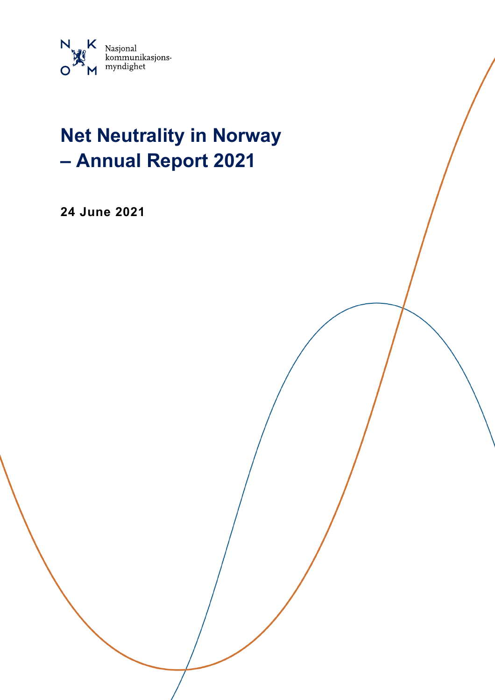

# **Net Neutrality in Norway – Annual Report 2021**

**24 June 2021**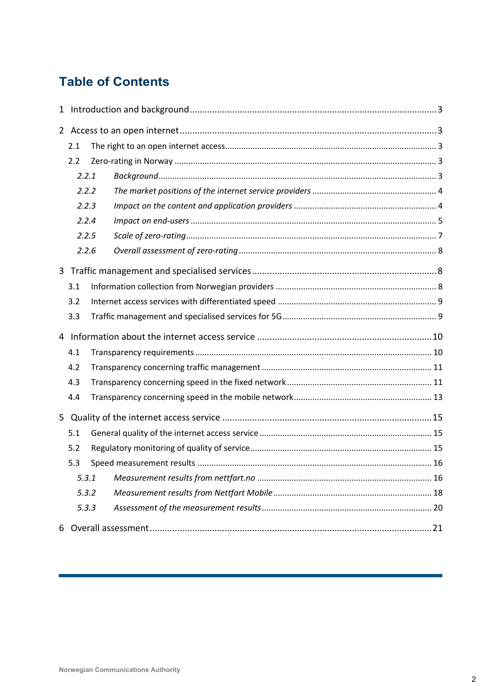# **Table of Contents**

|   | 2.1   |       |  |
|---|-------|-------|--|
|   | 2.2   |       |  |
|   | 2.2.1 |       |  |
|   | 2.2.2 |       |  |
|   | 2.2.3 |       |  |
|   | 2.2.4 |       |  |
|   | 2.2.5 |       |  |
|   |       | 2.2.6 |  |
| 3 |       |       |  |
|   | 3.1   |       |  |
|   | 3.2   |       |  |
|   | 3.3   |       |  |
|   |       |       |  |
|   | 4.1   |       |  |
|   | 4.2   |       |  |
|   | 4.3   |       |  |
|   | 4.4   |       |  |
| 5 |       |       |  |
|   | 5.1   |       |  |
|   | 5.2   |       |  |
|   | 5.3   |       |  |
|   | 5.3.1 |       |  |
|   | 5.3.2 |       |  |
|   | 5.3.3 |       |  |
|   |       |       |  |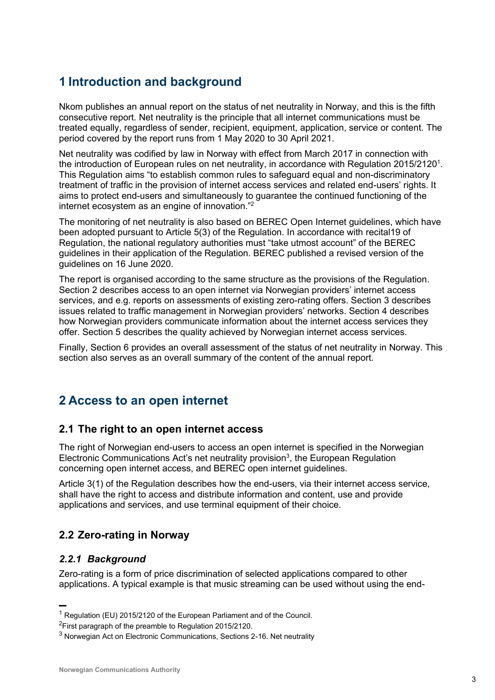# **1 Introduction and background**

Nkom publishes an annual report on the status of net neutrality in Norway, and this is the fifth consecutive report. Net neutrality is the principle that all internet communications must be treated equally, regardless of sender, recipient, equipment, application, service or content. The period covered by the report runs from 1 May 2020 to 30 April 2021.

Net neutrality was codified by law in Norway with effect from March 2017 in connection with the introduction of European rules on net neutrality, in accordance with Regulation 2015/21201. This Regulation aims "to establish common rules to safeguard equal and non-discriminatory treatment of traffic in the provision of internet access services and related end-users' rights. It aims to protect end-users and simultaneously to guarantee the continued functioning of the internet ecosystem as an engine of innovation."<sup>2</sup>

The monitoring of net neutrality is also based on BEREC Open Internet guidelines, which have been adopted pursuant to Article 5(3) of the Regulation. In accordance with recital19 of Regulation, the national regulatory authorities must "take utmost account" of the BEREC guidelines in their application of the Regulation. BEREC published a revised version of the guidelines on 16 June 2020.

The report is organised according to the same structure as the provisions of the Regulation. Section 2 describes access to an open internet via Norwegian providers' internet access services, and e.g. reports on assessments of existing zero-rating offers. Section 3 describes issues related to traffic management in Norwegian providers' networks. Section 4 describes how Norwegian providers communicate information about the internet access services they offer. Section 5 describes the quality achieved by Norwegian internet access services.

Finally, Section 6 provides an overall assessment of the status of net neutrality in Norway. This section also serves as an overall summary of the content of the annual report.

# **2 Access to an open internet**

## **2.1 The right to an open internet access**

The right of Norwegian end-users to access an open internet is specified in the Norwegian Electronic Communications Act's net neutrality provision<sup>3</sup>, the European Regulation concerning open internet access, and BEREC open internet guidelines.

Article 3(1) of the Regulation describes how the end-users, via their internet access service, shall have the right to access and distribute information and content, use and provide applications and services, and use terminal equipment of their choice.

## **2.2 Zero-rating in Norway**

## *2.2.1 Background*

▬

Zero-rating is a form of price discrimination of selected applications compared to other applications. A typical example is that music streaming can be used without using the end-

<sup>2</sup>First paragraph of the preamble to Regulation 2015/2120.

<sup>&</sup>lt;sup>1</sup> Regulation (EU) 2015/2120 of the European Parliament and of the Council.

 $3$  Norwegian Act on Electronic Communications, Sections 2-16. Net neutrality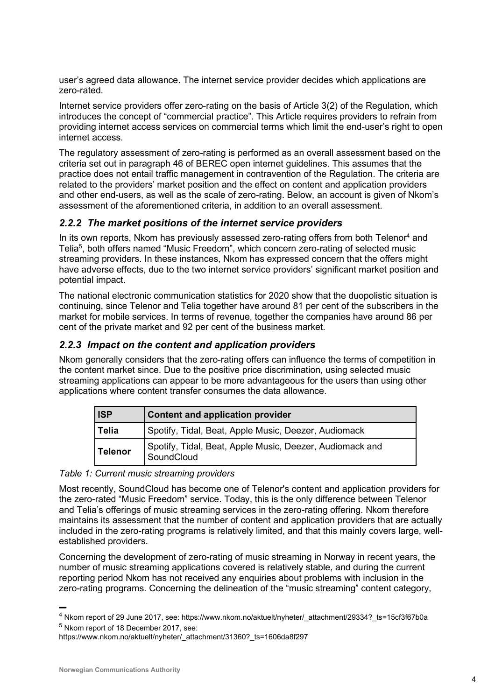user's agreed data allowance. The internet service provider decides which applications are zero-rated.

Internet service providers offer zero-rating on the basis of Article 3(2) of the Regulation, which introduces the concept of "commercial practice". This Article requires providers to refrain from providing internet access services on commercial terms which limit the end-user's right to open internet access.

The regulatory assessment of zero-rating is performed as an overall assessment based on the criteria set out in paragraph 46 of BEREC open internet guidelines. This assumes that the practice does not entail traffic management in contravention of the Regulation. The criteria are related to the providers' market position and the effect on content and application providers and other end-users, as well as the scale of zero-rating. Below, an account is given of Nkom's assessment of the aforementioned criteria, in addition to an overall assessment.

## *2.2.2 The market positions of the internet service providers*

In its own reports, Nkom has previously assessed zero-rating offers from both Telenor<sup>4</sup> and Telia<sup>5</sup>, both offers named "Music Freedom", which concern zero-rating of selected music streaming providers. In these instances, Nkom has expressed concern that the offers might have adverse effects, due to the two internet service providers' significant market position and potential impact.

The national electronic communication statistics for 2020 show that the duopolistic situation is continuing, since Telenor and Telia together have around 81 per cent of the subscribers in the market for mobile services. In terms of revenue, together the companies have around 86 per cent of the private market and 92 per cent of the business market.

## *2.2.3 Impact on the content and application providers*

Nkom generally considers that the zero-rating offers can influence the terms of competition in the content market since. Due to the positive price discrimination, using selected music streaming applications can appear to be more advantageous for the users than using other applications where content transfer consumes the data allowance.

| <b>ISP</b> | <b>Content and application provider</b>                                |
|------------|------------------------------------------------------------------------|
| Telia      | Spotify, Tidal, Beat, Apple Music, Deezer, Audiomack                   |
| Telenor    | Spotify, Tidal, Beat, Apple Music, Deezer, Audiomack and<br>SoundCloud |

#### *Table 1: Current music streaming providers*

Most recently, SoundCloud has become one of Telenor's content and application providers for the zero-rated "Music Freedom" service. Today, this is the only difference between Telenor and Telia's offerings of music streaming services in the zero-rating offering. Nkom therefore maintains its assessment that the number of content and application providers that are actually included in the zero-rating programs is relatively limited, and that this mainly covers large, wellestablished providers.

Concerning the development of zero-rating of music streaming in Norway in recent years, the number of music streaming applications covered is relatively stable, and during the current reporting period Nkom has not received any enquiries about problems with inclusion in the zero-rating programs. Concerning the delineation of the "music streaming" content category,

<sup>&</sup>lt;sup>4</sup> Nkom report of 29 June 2017, see: https://www.nkom.no/aktuelt/nyheter/\_attachment/29334?\_ts=15cf3f67b0a <sup>5</sup> Nkom report of 18 December 2017, see:

https://www.nkom.no/aktuelt/nyheter/\_attachment/31360?\_ts=1606da8f297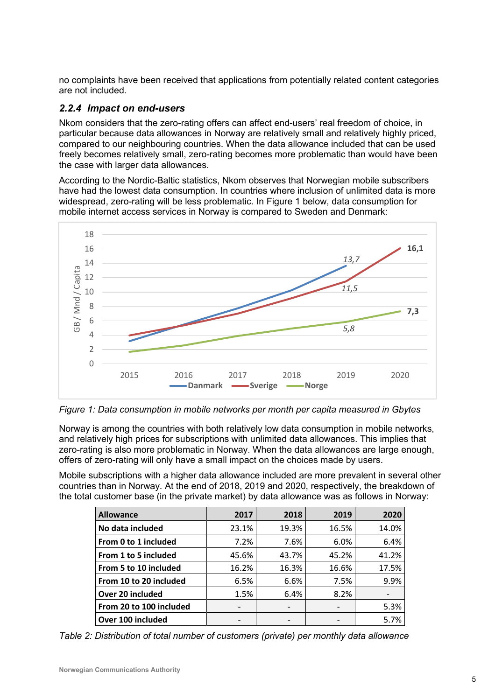no complaints have been received that applications from potentially related content categories are not included.

## *2.2.4 Impact on end-users*

Nkom considers that the zero-rating offers can affect end-users' real freedom of choice, in particular because data allowances in Norway are relatively small and relatively highly priced, compared to our neighbouring countries. When the data allowance included that can be used freely becomes relatively small, zero-rating becomes more problematic than would have been the case with larger data allowances.

According to the Nordic-Baltic statistics, Nkom observes that Norwegian mobile subscribers have had the lowest data consumption. In countries where inclusion of unlimited data is more widespread, zero-rating will be less problematic. In [Figure 1](#page-4-0) below, data consumption for mobile internet access services in Norway is compared to Sweden and Denmark:



<span id="page-4-0"></span>*Figure 1: Data consumption in mobile networks per month per capita measured in Gbytes*

Norway is among the countries with both relatively low data consumption in mobile networks, and relatively high prices for subscriptions with unlimited data allowances. This implies that zero-rating is also more problematic in Norway. When the data allowances are large enough, offers of zero-rating will only have a small impact on the choices made by users.

Mobile subscriptions with a higher data allowance included are more prevalent in several other countries than in Norway. At the end of 2018, 2019 and 2020, respectively, the breakdown of the total customer base (in the private market) by data allowance was as follows in Norway:

| <b>Allowance</b>        | 2017  | 2018  | 2019  | 2020  |
|-------------------------|-------|-------|-------|-------|
| No data included        | 23.1% | 19.3% | 16.5% | 14.0% |
| From 0 to 1 included    | 7.2%  | 7.6%  | 6.0%  | 6.4%  |
| From 1 to 5 included    | 45.6% | 43.7% | 45.2% | 41.2% |
| From 5 to 10 included   | 16.2% | 16.3% | 16.6% | 17.5% |
| From 10 to 20 included  | 6.5%  | 6.6%  | 7.5%  | 9.9%  |
| Over 20 included        | 1.5%  | 6.4%  | 8.2%  |       |
| From 20 to 100 included |       |       |       | 5.3%  |
| Over 100 included       |       |       |       | 5.7%  |

*Table 2: Distribution of total number of customers (private) per monthly data allowance*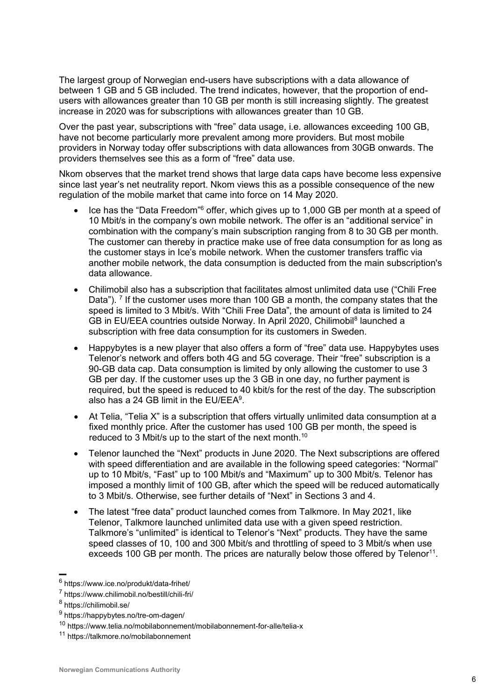The largest group of Norwegian end-users have subscriptions with a data allowance of between 1 GB and 5 GB included. The trend indicates, however, that the proportion of endusers with allowances greater than 10 GB per month is still increasing slightly. The greatest increase in 2020 was for subscriptions with allowances greater than 10 GB.

Over the past year, subscriptions with "free" data usage, i.e. allowances exceeding 100 GB, have not become particularly more prevalent among more providers. But most mobile providers in Norway today offer subscriptions with data allowances from 30GB onwards. The providers themselves see this as a form of "free" data use.

Nkom observes that the market trend shows that large data caps have become less expensive since last year's net neutrality report. Nkom views this as a possible consequence of the new regulation of the mobile market that came into force on 14 May 2020.

- Ice has the "Data Freedom"<sup>6</sup> offer, which gives up to 1,000 GB per month at a speed of 10 Mbit/s in the company's own mobile network. The offer is an "additional service" in combination with the company's main subscription ranging from 8 to 30 GB per month. The customer can thereby in practice make use of free data consumption for as long as the customer stays in Ice's mobile network. When the customer transfers traffic via another mobile network, the data consumption is deducted from the main subscription's data allowance.
- Chilimobil also has a subscription that facilitates almost unlimited data use ("Chili Free Data"). <sup>7</sup> If the customer uses more than 100 GB a month, the company states that the speed is limited to 3 Mbit/s. With "Chili Free Data", the amount of data is limited to 24 GB in EU/EEA countries outside Norway. In April 2020, Chilimobil<sup>8</sup> launched a subscription with free data consumption for its customers in Sweden.
- Happybytes is a new player that also offers a form of "free" data use. Happybytes uses Telenor's network and offers both 4G and 5G coverage. Their "free" subscription is a 90-GB data cap. Data consumption is limited by only allowing the customer to use 3 GB per day. If the customer uses up the 3 GB in one day, no further payment is required, but the speed is reduced to 40 kbit/s for the rest of the day. The subscription also has a 24 GB limit in the EU/EEA $^{\rm 9}$ .
- At Telia, "Telia X" is a subscription that offers virtually unlimited data consumption at a fixed monthly price. After the customer has used 100 GB per month, the speed is reduced to 3 Mbit/s up to the start of the next month.<sup>10</sup>
- Telenor launched the "Next" products in June 2020. The Next subscriptions are offered with speed differentiation and are available in the following speed categories: "Normal" up to 10 Mbit/s, "Fast" up to 100 Mbit/s and "Maximum" up to 300 Mbit/s. Telenor has imposed a monthly limit of 100 GB, after which the speed will be reduced automatically to 3 Mbit/s. Otherwise, see further details of "Next" in Sections 3 and 4.
- The latest "free data" product launched comes from Talkmore. In May 2021, like Telenor, Talkmore launched unlimited data use with a given speed restriction. Talkmore's "unlimited" is identical to Telenor's "Next" products. They have the same speed classes of 10, 100 and 300 Mbit/s and throttling of speed to 3 Mbit/s when use exceeds 100 GB per month. The prices are naturally below those offered by Telenor<sup>11</sup>.

<sup>&</sup>lt;sup>6</sup> https://www.ice.no/produkt/data-frihet/

<sup>&</sup>lt;sup>7</sup> https://www.chilimobil.no/bestill/chili-fri/

<sup>&</sup>lt;sup>8</sup> https://chilimobil.se/

<sup>&</sup>lt;sup>9</sup> https://happybytes.no/tre-om-dagen/

<sup>10</sup> https://www.telia.no/mobilabonnement/mobilabonnement-for-alle/telia-x

<sup>11</sup> https://talkmore.no/mobilabonnement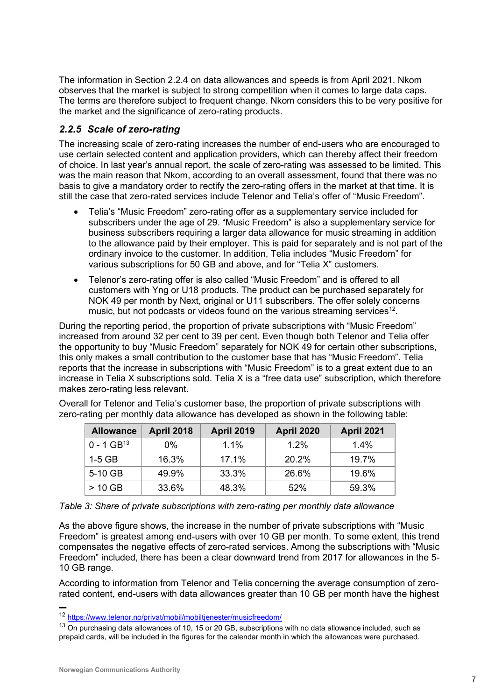The information in Section 2.2.4 on data allowances and speeds is from April 2021. Nkom observes that the market is subject to strong competition when it comes to large data caps. The terms are therefore subject to frequent change. Nkom considers this to be very positive for the market and the significance of zero-rating products.

## *2.2.5 Scale of zero-rating*

The increasing scale of zero-rating increases the number of end-users who are encouraged to use certain selected content and application providers, which can thereby affect their freedom of choice. In last year's annual report, the scale of zero-rating was assessed to be limited. This was the main reason that Nkom, according to an overall assessment, found that there was no basis to give a mandatory order to rectify the zero-rating offers in the market at that time. It is still the case that zero-rated services include Telenor and Telia's offer of "Music Freedom".

- Telia's "Music Freedom" zero-rating offer as a supplementary service included for subscribers under the age of 29. "Music Freedom" is also a supplementary service for business subscribers requiring a larger data allowance for music streaming in addition to the allowance paid by their employer. This is paid for separately and is not part of the ordinary invoice to the customer. In addition, Telia includes "Music Freedom" for various subscriptions for 50 GB and above, and for "Telia X" customers.
- Telenor's zero-rating offer is also called "Music Freedom" and is offered to all customers with Yng or U18 products. The product can be purchased separately for NOK 49 per month by Next, original or U11 subscribers. The offer solely concerns music, but not podcasts or videos found on the various streaming services<sup>12</sup>.

During the reporting period, the proportion of private subscriptions with "Music Freedom" increased from around 32 per cent to 39 per cent. Even though both Telenor and Telia offer the opportunity to buy "Music Freedom" separately for NOK 49 for certain other subscriptions, this only makes a small contribution to the customer base that has "Music Freedom". Telia reports that the increase in subscriptions with "Music Freedom" is to a great extent due to an increase in Telia X subscriptions sold. Telia X is a "free data use" subscription, which therefore makes zero-rating less relevant.

Overall for Telenor and Telia's customer base, the proportion of private subscriptions with zero-rating per monthly data allowance has developed as shown in the following table:

| <b>Allowance</b>         | <b>April 2018</b> | <b>April 2019</b> | <b>April 2020</b> | <b>April 2021</b> |
|--------------------------|-------------------|-------------------|-------------------|-------------------|
| $0 - 1$ GB <sup>13</sup> | $0\%$             | 1.1%              | 1 2\%             | 1.4%              |
| $1-5$ GB                 | 16.3%             | 17.1%             | 20.2%             | 19 7%             |
| 5-10 GB                  | 49.9%             | 33.3%             | 26.6%             | 19.6%             |
| $>10$ GB                 | 33.6%             | 48.3%             | 52%               | 59.3%             |

| Table 3: Share of private subscriptions with zero-rating per monthly data allowance |
|-------------------------------------------------------------------------------------|
|-------------------------------------------------------------------------------------|

As the above figure shows, the increase in the number of private subscriptions with "Music Freedom" is greatest among end-users with over 10 GB per month. To some extent, this trend compensates the negative effects of zero-rated services. Among the subscriptions with "Music Freedom" included, there has been a clear downward trend from 2017 for allowances in the 5- 10 GB range.

According to information from Telenor and Telia concerning the average consumption of zerorated content, end-users with data allowances greater than 10 GB per month have the highest

<sup>12</sup> <https://www.telenor.no/privat/mobil/mobiltjenester/musicfreedom/>

<sup>&</sup>lt;sup>13</sup> On purchasing data allowances of 10, 15 or 20 GB, subscriptions with no data allowance included, such as prepaid cards, will be included in the figures for the calendar month in which the allowances were purchased.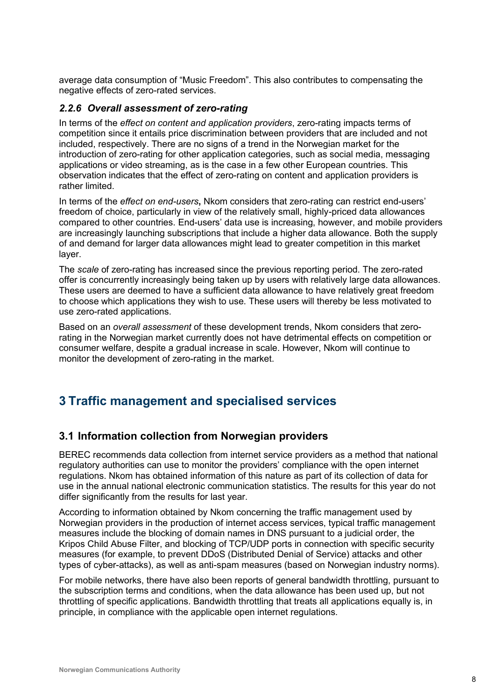average data consumption of "Music Freedom". This also contributes to compensating the negative effects of zero-rated services.

#### *2.2.6 Overall assessment of zero-rating*

In terms of the *effect on content and application providers*, zero-rating impacts terms of competition since it entails price discrimination between providers that are included and not included, respectively. There are no signs of a trend in the Norwegian market for the introduction of zero-rating for other application categories, such as social media, messaging applications or video streaming, as is the case in a few other European countries. This observation indicates that the effect of zero-rating on content and application providers is rather limited.

In terms of the *effect on end-users***,** Nkom considers that zero-rating can restrict end-users' freedom of choice, particularly in view of the relatively small, highly-priced data allowances compared to other countries. End-users' data use is increasing, however, and mobile providers are increasingly launching subscriptions that include a higher data allowance. Both the supply of and demand for larger data allowances might lead to greater competition in this market layer.

The *scale* of zero-rating has increased since the previous reporting period. The zero-rated offer is concurrently increasingly being taken up by users with relatively large data allowances. These users are deemed to have a sufficient data allowance to have relatively great freedom to choose which applications they wish to use. These users will thereby be less motivated to use zero-rated applications.

Based on an *overall assessment* of these development trends, Nkom considers that zerorating in the Norwegian market currently does not have detrimental effects on competition or consumer welfare, despite a gradual increase in scale. However, Nkom will continue to monitor the development of zero-rating in the market.

# **3 Traffic management and specialised services**

## **3.1 Information collection from Norwegian providers**

BEREC recommends data collection from internet service providers as a method that national regulatory authorities can use to monitor the providers' compliance with the open internet regulations. Nkom has obtained information of this nature as part of its collection of data for use in the annual national electronic communication statistics. The results for this year do not differ significantly from the results for last year.

According to information obtained by Nkom concerning the traffic management used by Norwegian providers in the production of internet access services, typical traffic management measures include the blocking of domain names in DNS pursuant to a judicial order, the Kripos Child Abuse Filter, and blocking of TCP/UDP ports in connection with specific security measures (for example, to prevent DDoS (Distributed Denial of Service) attacks and other types of cyber-attacks), as well as anti-spam measures (based on Norwegian industry norms).

For mobile networks, there have also been reports of general bandwidth throttling, pursuant to the subscription terms and conditions, when the data allowance has been used up, but not throttling of specific applications. Bandwidth throttling that treats all applications equally is, in principle, in compliance with the applicable open internet regulations.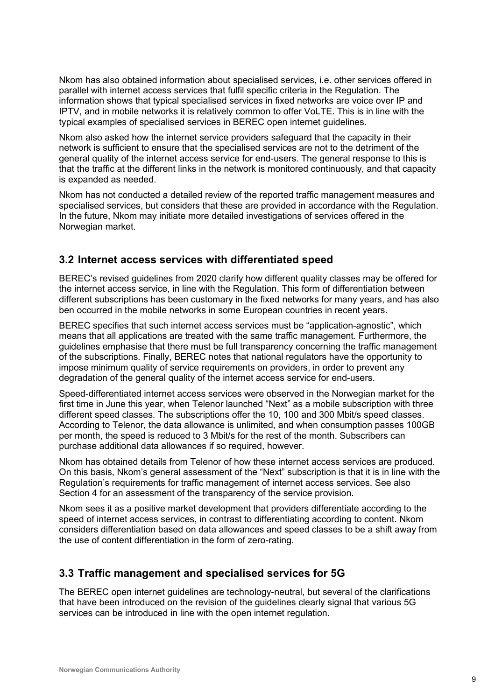Nkom has also obtained information about specialised services, i.e. other services offered in parallel with internet access services that fulfil specific criteria in the Regulation. The information shows that typical specialised services in fixed networks are voice over IP and IPTV, and in mobile networks it is relatively common to offer VoLTE. This is in line with the typical examples of specialised services in BEREC open internet guidelines.

Nkom also asked how the internet service providers safeguard that the capacity in their network is sufficient to ensure that the specialised services are not to the detriment of the general quality of the internet access service for end-users. The general response to this is that the traffic at the different links in the network is monitored continuously, and that capacity is expanded as needed.

Nkom has not conducted a detailed review of the reported traffic management measures and specialised services, but considers that these are provided in accordance with the Regulation. In the future, Nkom may initiate more detailed investigations of services offered in the Norwegian market.

## **3.2 Internet access services with differentiated speed**

BEREC's revised guidelines from 2020 clarify how different quality classes may be offered for the internet access service, in line with the Regulation. This form of differentiation between different subscriptions has been customary in the fixed networks for many years, and has also ben occurred in the mobile networks in some European countries in recent years.

BEREC specifies that such internet access services must be "application-agnostic", which means that all applications are treated with the same traffic management. Furthermore, the guidelines emphasise that there must be full transparency concerning the traffic management of the subscriptions. Finally, BEREC notes that national regulators have the opportunity to impose minimum quality of service requirements on providers, in order to prevent any degradation of the general quality of the internet access service for end-users.

Speed-differentiated internet access services were observed in the Norwegian market for the first time in June this year, when Telenor launched "Next" as a mobile subscription with three different speed classes. The subscriptions offer the 10, 100 and 300 Mbit/s speed classes. According to Telenor, the data allowance is unlimited, and when consumption passes 100GB per month, the speed is reduced to 3 Mbit/s for the rest of the month. Subscribers can purchase additional data allowances if so required, however.

Nkom has obtained details from Telenor of how these internet access services are produced. On this basis, Nkom's general assessment of the "Next" subscription is that it is in line with the Regulation's requirements for traffic management of internet access services. See also Section 4 for an assessment of the transparency of the service provision.

Nkom sees it as a positive market development that providers differentiate according to the speed of internet access services, in contrast to differentiating according to content. Nkom considers differentiation based on data allowances and speed classes to be a shift away from the use of content differentiation in the form of zero-rating.

## **3.3 Traffic management and specialised services for 5G**

The BEREC open internet guidelines are technology-neutral, but several of the clarifications that have been introduced on the revision of the guidelines clearly signal that various 5G services can be introduced in line with the open internet regulation.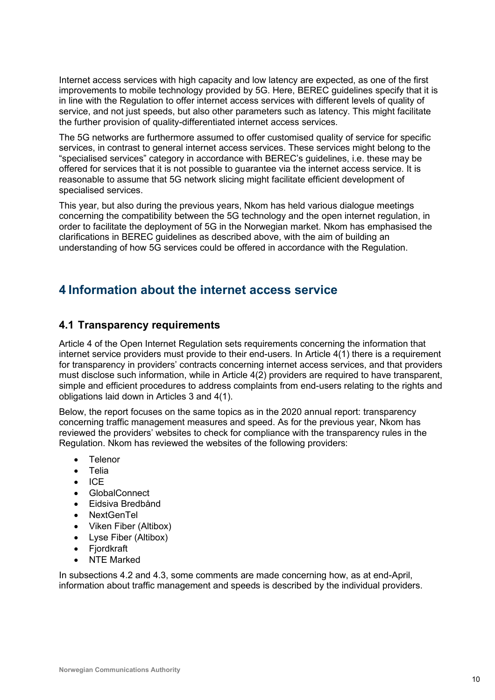Internet access services with high capacity and low latency are expected, as one of the first improvements to mobile technology provided by 5G. Here, BEREC guidelines specify that it is in line with the Regulation to offer internet access services with different levels of quality of service, and not just speeds, but also other parameters such as latency. This might facilitate the further provision of quality-differentiated internet access services.

The 5G networks are furthermore assumed to offer customised quality of service for specific services, in contrast to general internet access services. These services might belong to the "specialised services" category in accordance with BEREC's guidelines, i.e. these may be offered for services that it is not possible to guarantee via the internet access service. It is reasonable to assume that 5G network slicing might facilitate efficient development of specialised services.

This year, but also during the previous years, Nkom has held various dialogue meetings concerning the compatibility between the 5G technology and the open internet regulation, in order to facilitate the deployment of 5G in the Norwegian market. Nkom has emphasised the clarifications in BEREC guidelines as described above, with the aim of building an understanding of how 5G services could be offered in accordance with the Regulation.

## **4 Information about the internet access service**

## **4.1 Transparency requirements**

Article 4 of the Open Internet Regulation sets requirements concerning the information that internet service providers must provide to their end-users. In Article 4(1) there is a requirement for transparency in providers' contracts concerning internet access services, and that providers must disclose such information, while in Article 4(2) providers are required to have transparent, simple and efficient procedures to address complaints from end-users relating to the rights and obligations laid down in Articles 3 and 4(1).

Below, the report focuses on the same topics as in the 2020 annual report: transparency concerning traffic management measures and speed. As for the previous year, Nkom has reviewed the providers' websites to check for compliance with the transparency rules in the Regulation. Nkom has reviewed the websites of the following providers:

- **Telenor**
- Telia
- ICE
- GlobalConnect
- Eidsiva Bredbånd
- NextGenTel
- Viken Fiber (Altibox)
- Lyse Fiber (Altibox)
- Fiordkraft
- **NTE Marked**

In subsections 4.2 and 4.3, some comments are made concerning how, as at end-April, information about traffic management and speeds is described by the individual providers.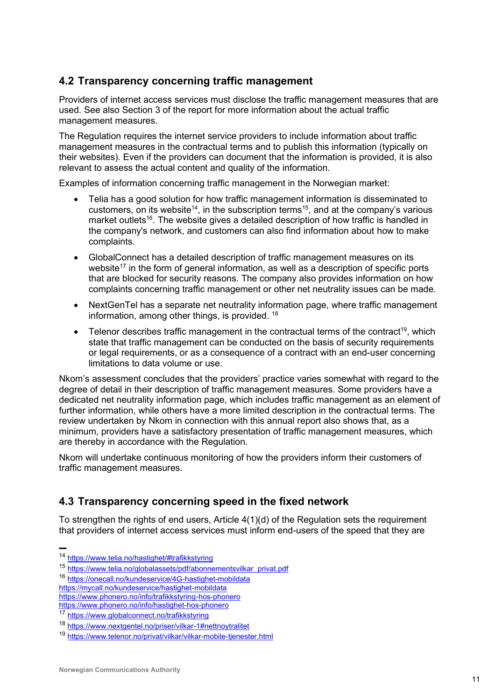## **4.2 Transparency concerning traffic management**

Providers of internet access services must disclose the traffic management measures that are used. See also Section 3 of the report for more information about the actual traffic management measures.

The Regulation requires the internet service providers to include information about traffic management measures in the contractual terms and to publish this information (typically on their websites). Even if the providers can document that the information is provided, it is also relevant to assess the actual content and quality of the information.

Examples of information concerning traffic management in the Norwegian market:

- Telia has a good solution for how traffic management information is disseminated to customers, on its website<sup>14</sup>, in the subscription terms<sup>15</sup>, and at the company's various market outlets<sup>16</sup>. The website gives a detailed description of how traffic is handled in the company's network, and customers can also find information about how to make complaints.
- GlobalConnect has a detailed description of traffic management measures on its website<sup>17</sup> in the form of general information, as well as a description of specific ports that are blocked for security reasons. The company also provides information on how complaints concerning traffic management or other net neutrality issues can be made.
- NextGenTel has a separate net neutrality information page, where traffic management information, among other things, is provided. <sup>18</sup>
- Telenor describes traffic management in the contractual terms of the contract<sup>19</sup>, which state that traffic management can be conducted on the basis of security requirements or legal requirements, or as a consequence of a contract with an end-user concerning limitations to data volume or use.

Nkom's assessment concludes that the providers' practice varies somewhat with regard to the degree of detail in their description of traffic management measures. Some providers have a dedicated net neutrality information page, which includes traffic management as an element of further information, while others have a more limited description in the contractual terms. The review undertaken by Nkom in connection with this annual report also shows that, as a minimum, providers have a satisfactory presentation of traffic management measures, which are thereby in accordance with the Regulation.

Nkom will undertake continuous monitoring of how the providers inform their customers of traffic management measures.

## **4.3 Transparency concerning speed in the fixed network**

To strengthen the rights of end users, Article 4(1)(d) of the Regulation sets the requirement that providers of internet access services must inform end-users of the speed that they are

<sup>▬</sup>

<sup>&</sup>lt;sup>14</sup> <https://www.telia.no/hastighet/#trafikkstyring>

<sup>15</sup> [https://www.telia.no/globalassets/pdf/abonnementsvilkar\\_privat.pdf](https://www.telia.no/globalassets/pdf/abonnementsvilkar_privat.pdf)

<sup>16</sup> <https://onecall.no/kundeservice/4G-hastighet-mobildata>

<https://mycall.no/kundeservice/hastighet-mobildata>

<https://www.phonero.no/info/trafikkstyring-hos-phonero>

<https://www.phonero.no/info/hastighet-hos-phonero>

<sup>17</sup> <https://www.globalconnect.no/trafikkstyring>

<sup>18</sup> <https://www.nextgentel.no/priser/vilkar-1#nettnoytralitet>

<sup>19</sup> <https://www.telenor.no/privat/vilkar/vilkar-mobile-tjenester.html>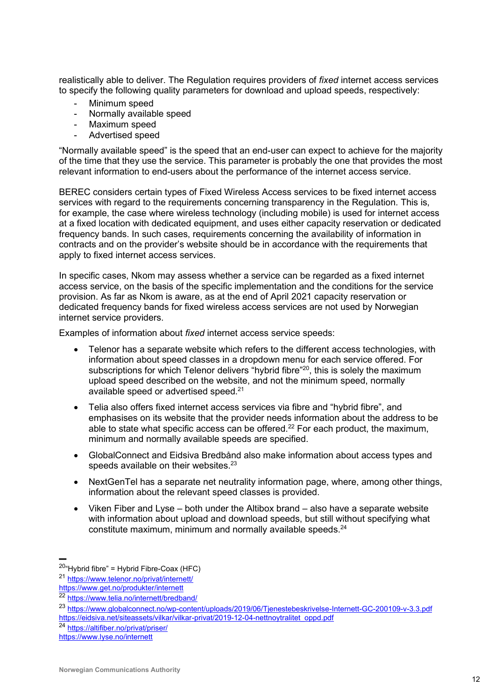realistically able to deliver. The Regulation requires providers of *fixed* internet access services to specify the following quality parameters for download and upload speeds, respectively:

- Minimum speed
- Normally available speed
- Maximum speed
- Advertised speed

"Normally available speed" is the speed that an end-user can expect to achieve for the majority of the time that they use the service. This parameter is probably the one that provides the most relevant information to end-users about the performance of the internet access service.

BEREC considers certain types of Fixed Wireless Access services to be fixed internet access services with regard to the requirements concerning transparency in the Regulation. This is, for example, the case where wireless technology (including mobile) is used for internet access at a fixed location with dedicated equipment, and uses either capacity reservation or dedicated frequency bands. In such cases, requirements concerning the availability of information in contracts and on the provider's website should be in accordance with the requirements that apply to fixed internet access services.

In specific cases, Nkom may assess whether a service can be regarded as a fixed internet access service, on the basis of the specific implementation and the conditions for the service provision. As far as Nkom is aware, as at the end of April 2021 capacity reservation or dedicated frequency bands for fixed wireless access services are not used by Norwegian internet service providers.

Examples of information about *fixed* internet access service speeds:

- Telenor has a separate website which refers to the different access technologies, with information about speed classes in a dropdown menu for each service offered. For subscriptions for which Telenor delivers "hybrid fibre"<sup>20</sup>, this is solely the maximum upload speed described on the website, and not the minimum speed, normally available speed or advertised speed. $^{21}$
- Telia also offers fixed internet access services via fibre and "hybrid fibre", and emphasises on its website that the provider needs information about the address to be able to state what specific access can be offered. $22$  For each product, the maximum, minimum and normally available speeds are specified.
- GlobalConnect and Eidsiva Bredbånd also make information about access types and speeds available on their websites.<sup>23</sup>
- NextGenTel has a separate net neutrality information page, where, among other things, information about the relevant speed classes is provided.
- Viken Fiber and Lyse both under the Altibox brand also have a separate website with information about upload and download speeds, but still without specifying what constitute maximum, minimum and normally available speeds.<sup>24</sup>

<sup>▬</sup>  $20$ "Hybrid fibre" = Hybrid Fibre-Coax (HFC)

<sup>21</sup> <https://www.telenor.no/privat/internett/>

<https://www.get.no/produkter/internett>

<sup>22</sup> <https://www.telia.no/internett/bredband/>

<sup>23</sup> <https://www.globalconnect.no/wp-content/uploads/2019/06/Tjenestebeskrivelse-Internett-GC-200109-v-3.3.pdf> [https://eidsiva.net/siteassets/vilkar/vilkar-privat/2019-12-04-nettnoytralitet\\_oppd.pdf](https://eidsiva.net/siteassets/vilkar/vilkar-privat/2019-12-04-nettnoytralitet_oppd.pdf)

<sup>24</sup> <https://altifiber.no/privat/priser/>

<https://www.lyse.no/internett>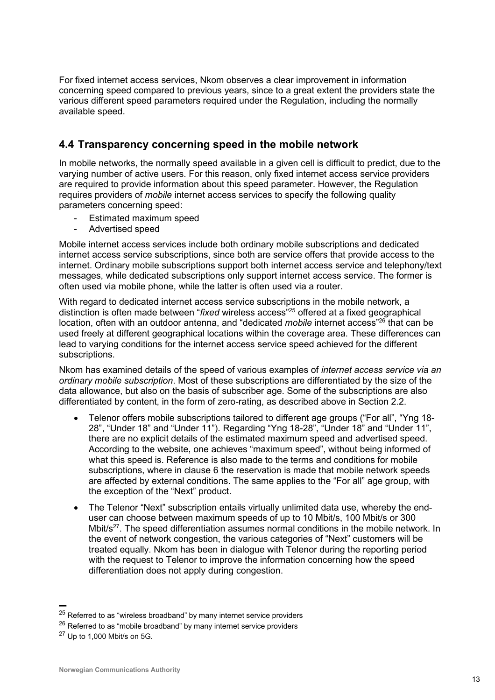For fixed internet access services, Nkom observes a clear improvement in information concerning speed compared to previous years, since to a great extent the providers state the various different speed parameters required under the Regulation, including the normally available speed.

## **4.4 Transparency concerning speed in the mobile network**

In mobile networks, the normally speed available in a given cell is difficult to predict, due to the varying number of active users. For this reason, only fixed internet access service providers are required to provide information about this speed parameter. However, the Regulation requires providers of *mobile* internet access services to specify the following quality parameters concerning speed:

- Estimated maximum speed
- Advertised speed

Mobile internet access services include both ordinary mobile subscriptions and dedicated internet access service subscriptions, since both are service offers that provide access to the internet. Ordinary mobile subscriptions support both internet access service and telephony/text messages, while dedicated subscriptions only support internet access service. The former is often used via mobile phone, while the latter is often used via a router.

With regard to dedicated internet access service subscriptions in the mobile network, a distinction is often made between "*fixed* wireless access"<sup>25</sup> offered at a fixed geographical location, often with an outdoor antenna, and "dedicated *mobile* internet access"<sup>26</sup> that can be used freely at different geographical locations within the coverage area. These differences can lead to varying conditions for the internet access service speed achieved for the different subscriptions.

Nkom has examined details of the speed of various examples of *internet access service via an ordinary mobile subscription*. Most of these subscriptions are differentiated by the size of the data allowance, but also on the basis of subscriber age. Some of the subscriptions are also differentiated by content, in the form of zero-rating, as described above in Section 2.2.

- Telenor offers mobile subscriptions tailored to different age groups ("For all", "Yng 18- 28", "Under 18" and "Under 11"). Regarding "Yng 18-28", "Under 18" and "Under 11", there are no explicit details of the estimated maximum speed and advertised speed. According to the website, one achieves "maximum speed", without being informed of what this speed is. Reference is also made to the terms and conditions for mobile subscriptions, where in clause 6 the reservation is made that mobile network speeds are affected by external conditions. The same applies to the "For all" age group, with the exception of the "Next" product.
- The Telenor "Next" subscription entails virtually unlimited data use, whereby the enduser can choose between maximum speeds of up to 10 Mbit/s, 100 Mbit/s or 300 Mbit/s<sup>27</sup>. The speed differentiation assumes normal conditions in the mobile network. In the event of network congestion, the various categories of "Next" customers will be treated equally. Nkom has been in dialogue with Telenor during the reporting period with the request to Telenor to improve the information concerning how the speed differentiation does not apply during congestion.

 $^{25}$  Referred to as "wireless broadband" by many internet service providers

 $26$  Referred to as "mobile broadband" by many internet service providers

 $27$  Up to 1,000 Mbit/s on 5G.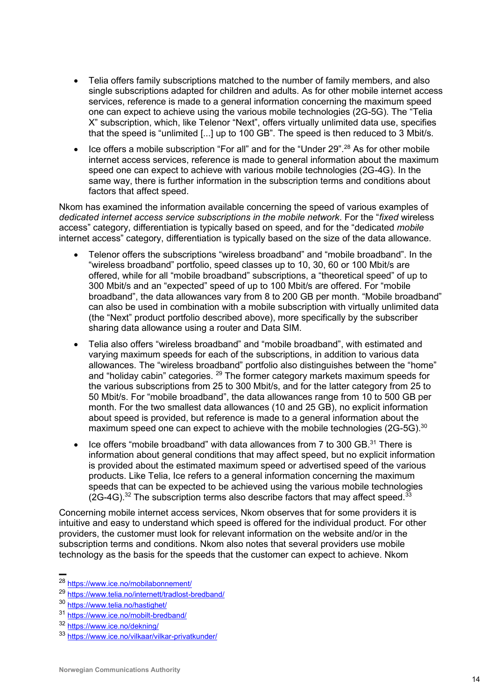- Telia offers family subscriptions matched to the number of family members, and also single subscriptions adapted for children and adults. As for other mobile internet access services, reference is made to a general information concerning the maximum speed one can expect to achieve using the various mobile technologies (2G-5G). The "Telia X" subscription, which, like Telenor "Next", offers virtually unlimited data use, specifies that the speed is "unlimited [...] up to 100 GB". The speed is then reduced to 3 Mbit/s.
- Ice offers a mobile subscription "For all" and for the "Under 29".<sup>28</sup> As for other mobile internet access services, reference is made to general information about the maximum speed one can expect to achieve with various mobile technologies (2G-4G). In the same way, there is further information in the subscription terms and conditions about factors that affect speed.

Nkom has examined the information available concerning the speed of various examples of *dedicated internet access service subscriptions in the mobile network*. For the "*fixed* wireless access" category, differentiation is typically based on speed, and for the "dedicated *mobile* internet access" category, differentiation is typically based on the size of the data allowance.

- Telenor offers the subscriptions "wireless broadband" and "mobile broadband". In the "wireless broadband" portfolio, speed classes up to 10, 30, 60 or 100 Mbit/s are offered, while for all "mobile broadband" subscriptions, a "theoretical speed" of up to 300 Mbit/s and an "expected" speed of up to 100 Mbit/s are offered. For "mobile broadband", the data allowances vary from 8 to 200 GB per month. "Mobile broadband" can also be used in combination with a mobile subscription with virtually unlimited data (the "Next" product portfolio described above), more specifically by the subscriber sharing data allowance using a router and Data SIM.
- Telia also offers "wireless broadband" and "mobile broadband", with estimated and varying maximum speeds for each of the subscriptions, in addition to various data allowances. The "wireless broadband" portfolio also distinguishes between the "home" and "holiday cabin" categories. <sup>29</sup> The former category markets maximum speeds for the various subscriptions from 25 to 300 Mbit/s, and for the latter category from 25 to 50 Mbit/s. For "mobile broadband", the data allowances range from 10 to 500 GB per month. For the two smallest data allowances (10 and 25 GB), no explicit information about speed is provided, but reference is made to a general information about the maximum speed one can expect to achieve with the mobile technologies  $(2G-5G)$ <sup>30</sup>
- Ice offers "mobile broadband" with data allowances from 7 to 300 GB.<sup>31</sup> There is information about general conditions that may affect speed, but no explicit information is provided about the estimated maximum speed or advertised speed of the various products. Like Telia, Ice refers to a general information concerning the maximum speeds that can be expected to be achieved using the various mobile technologies  $(2G-4G).<sup>32</sup>$  The subscription terms also describe factors that may affect speed.<sup>33</sup>

Concerning mobile internet access services, Nkom observes that for some providers it is intuitive and easy to understand which speed is offered for the individual product. For other providers, the customer must look for relevant information on the website and/or in the subscription terms and conditions. Nkom also notes that several providers use mobile technology as the basis for the speeds that the customer can expect to achieve. Nkom

<sup>▬</sup> <sup>28</sup> <https://www.ice.no/mobilabonnement/>

<sup>29</sup> <https://www.telia.no/internett/tradlost-bredband/>

<sup>30</sup> <https://www.telia.no/hastighet/>

<sup>31</sup> <https://www.ice.no/mobilt-bredband/>

<sup>32</sup> <https://www.ice.no/dekning/>

<sup>33</sup> <https://www.ice.no/vilkaar/vilkar-privatkunder/>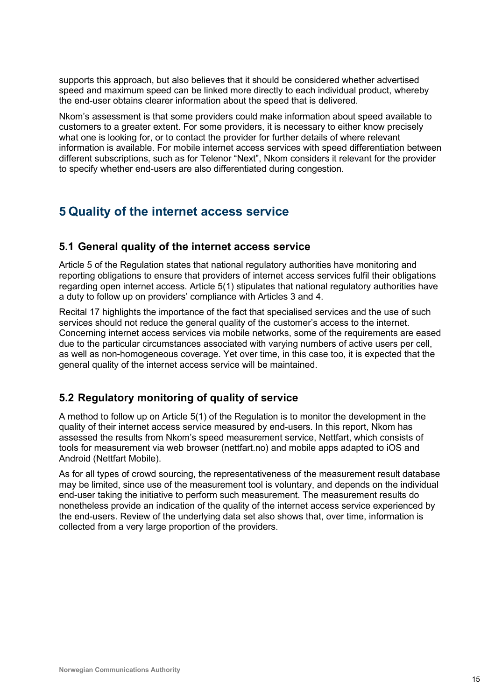supports this approach, but also believes that it should be considered whether advertised speed and maximum speed can be linked more directly to each individual product, whereby the end-user obtains clearer information about the speed that is delivered.

Nkom's assessment is that some providers could make information about speed available to customers to a greater extent. For some providers, it is necessary to either know precisely what one is looking for, or to contact the provider for further details of where relevant information is available. For mobile internet access services with speed differentiation between different subscriptions, such as for Telenor "Next", Nkom considers it relevant for the provider to specify whether end-users are also differentiated during congestion.

# **5 Quality of the internet access service**

## **5.1 General quality of the internet access service**

Article 5 of the Regulation states that national regulatory authorities have monitoring and reporting obligations to ensure that providers of internet access services fulfil their obligations regarding open internet access. Article 5(1) stipulates that national regulatory authorities have a duty to follow up on providers' compliance with Articles 3 and 4.

Recital 17 highlights the importance of the fact that specialised services and the use of such services should not reduce the general quality of the customer's access to the internet. Concerning internet access services via mobile networks, some of the requirements are eased due to the particular circumstances associated with varying numbers of active users per cell, as well as non-homogeneous coverage. Yet over time, in this case too, it is expected that the general quality of the internet access service will be maintained.

## **5.2 Regulatory monitoring of quality of service**

A method to follow up on Article 5(1) of the Regulation is to monitor the development in the quality of their internet access service measured by end-users. In this report, Nkom has assessed the results from Nkom's speed measurement service, Nettfart, which consists of tools for measurement via web browser (nettfart.no) and mobile apps adapted to iOS and Android (Nettfart Mobile).

As for all types of crowd sourcing, the representativeness of the measurement result database may be limited, since use of the measurement tool is voluntary, and depends on the individual end-user taking the initiative to perform such measurement. The measurement results do nonetheless provide an indication of the quality of the internet access service experienced by the end-users. Review of the underlying data set also shows that, over time, information is collected from a very large proportion of the providers.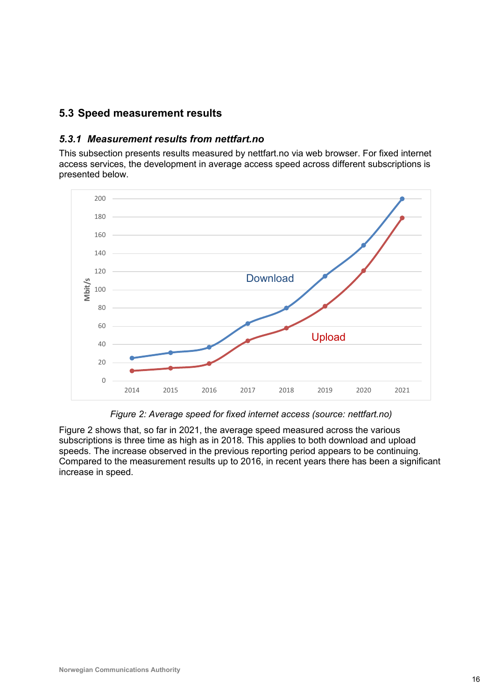## **5.3 Speed measurement results**

#### *5.3.1 Measurement results from nettfart.no*

This subsection presents results measured by nettfart.no via web browser. For fixed internet access services, the development in average access speed across different subscriptions is presented below.



*Figure 2: Average speed for fixed internet access (source: nettfart.no)*

<span id="page-15-0"></span>[Figure 2](#page-15-0) shows that, so far in 2021, the average speed measured across the various subscriptions is three time as high as in 2018. This applies to both download and upload speeds. The increase observed in the previous reporting period appears to be continuing. Compared to the measurement results up to 2016, in recent years there has been a significant increase in speed.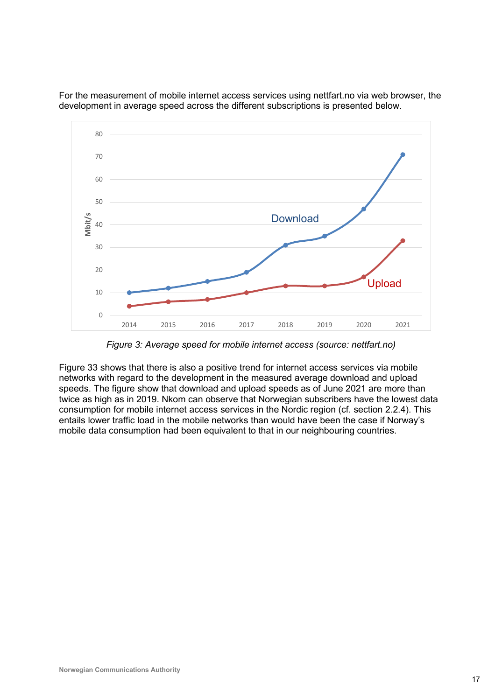

For the measurement of mobile internet access services using nettfart.no via web browser, the development in average speed across the different subscriptions is presented below.

*Figure 3: Average speed for mobile internet access (source: nettfart.no)*

<span id="page-16-0"></span>[Figure 33](#page-16-0) shows that there is also a positive trend for internet access services via mobile networks with regard to the development in the measured average download and upload speeds. The figure show that download and upload speeds as of June 2021 are more than twice as high as in 2019. Nkom can observe that Norwegian subscribers have the lowest data consumption for mobile internet access services in the Nordic region (cf. section 2.2.4). This entails lower traffic load in the mobile networks than would have been the case if Norway's mobile data consumption had been equivalent to that in our neighbouring countries.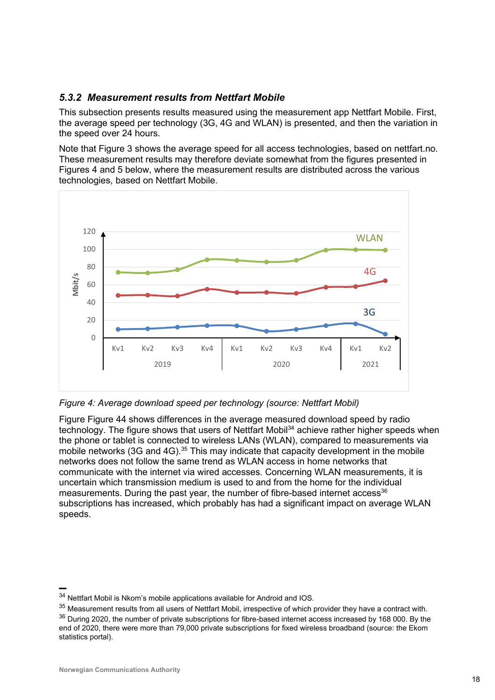## *5.3.2 Measurement results from Nettfart Mobile*

This subsection presents results measured using the measurement app Nettfart Mobile. First, the average speed per technology (3G, 4G and WLAN) is presented, and then the variation in the speed over 24 hours.

Note that Figure 3 shows the average speed for all access technologies, based on nettfart.no. These measurement results may therefore deviate somewhat from the figures presented in Figures 4 and 5 below, where the measurement results are distributed across the various technologies, based on Nettfart Mobile.



<span id="page-17-0"></span>*Figure 4: Average download speed per technology (source: Nettfart Mobil)*

Figure [Figure 44](#page-17-0) shows differences in the average measured download speed by radio technology. The figure shows that users of Nettfart Mobil<sup>34</sup> achieve rather higher speeds when the phone or tablet is connected to wireless LANs (WLAN), compared to measurements via mobile networks (3G and 4G).<sup>35</sup> This may indicate that capacity development in the mobile networks does not follow the same trend as WLAN access in home networks that communicate with the internet via wired accesses. Concerning WLAN measurements, it is uncertain which transmission medium is used to and from the home for the individual measurements. During the past year, the number of fibre-based internet access<sup>36</sup> subscriptions has increased, which probably has had a significant impact on average WLAN speeds.

<sup>34</sup> Nettfart Mobil is Nkom's mobile applications available for Android and IOS.

 $35$  Measurement results from all users of Nettfart Mobil, irrespective of which provider they have a contract with.  $36$  During 2020, the number of private subscriptions for fibre-based internet access increased by 168 000. By the end of 2020, there were more than 79,000 private subscriptions for fixed wireless broadband (source: the Ekom statistics portal).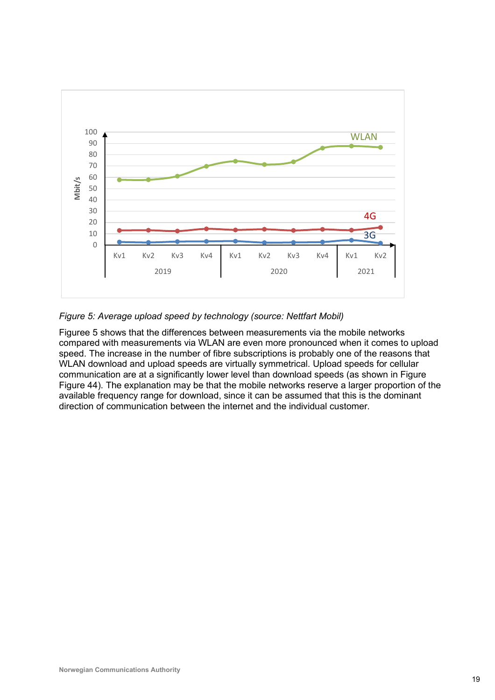

<span id="page-18-0"></span>*Figure 5: Average upload speed by technology (source: Nettfart Mobil)*

[Figuree](#page-18-0) 5 shows that the differences between measurements via the mobile networks compared with measurements via WLAN are even more pronounced when it comes to upload speed. The increase in the number of fibre subscriptions is probably one of the reasons that WLAN download and upload speeds are virtually symmetrical. Upload speeds for cellular communication are at a significantly lower level than download speeds (as shown in Figure [Figure 44](#page-17-0)). The explanation may be that the mobile networks reserve a larger proportion of the available frequency range for download, since it can be assumed that this is the dominant direction of communication between the internet and the individual customer.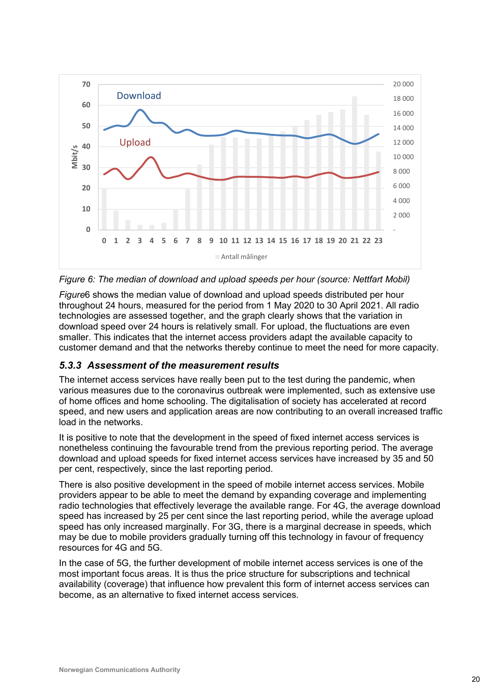

<span id="page-19-0"></span>*Figure 6: The median of download and upload speeds per hour (source: Nettfart Mobil)*

*[Figure](#page-19-0)*6 shows the median value of download and upload speeds distributed per hour throughout 24 hours, measured for the period from 1 May 2020 to 30 April 2021. All radio technologies are assessed together, and the graph clearly shows that the variation in download speed over 24 hours is relatively small. For upload, the fluctuations are even smaller. This indicates that the internet access providers adapt the available capacity to customer demand and that the networks thereby continue to meet the need for more capacity.

## *5.3.3 Assessment of the measurement results*

The internet access services have really been put to the test during the pandemic, when various measures due to the coronavirus outbreak were implemented, such as extensive use of home offices and home schooling. The digitalisation of society has accelerated at record speed, and new users and application areas are now contributing to an overall increased traffic load in the networks.

It is positive to note that the development in the speed of fixed internet access services is nonetheless continuing the favourable trend from the previous reporting period. The average download and upload speeds for fixed internet access services have increased by 35 and 50 per cent, respectively, since the last reporting period.

There is also positive development in the speed of mobile internet access services. Mobile providers appear to be able to meet the demand by expanding coverage and implementing radio technologies that effectively leverage the available range. For 4G, the average download speed has increased by 25 per cent since the last reporting period, while the average upload speed has only increased marginally. For 3G, there is a marginal decrease in speeds, which may be due to mobile providers gradually turning off this technology in favour of frequency resources for 4G and 5G.

In the case of 5G, the further development of mobile internet access services is one of the most important focus areas. It is thus the price structure for subscriptions and technical availability (coverage) that influence how prevalent this form of internet access services can become, as an alternative to fixed internet access services.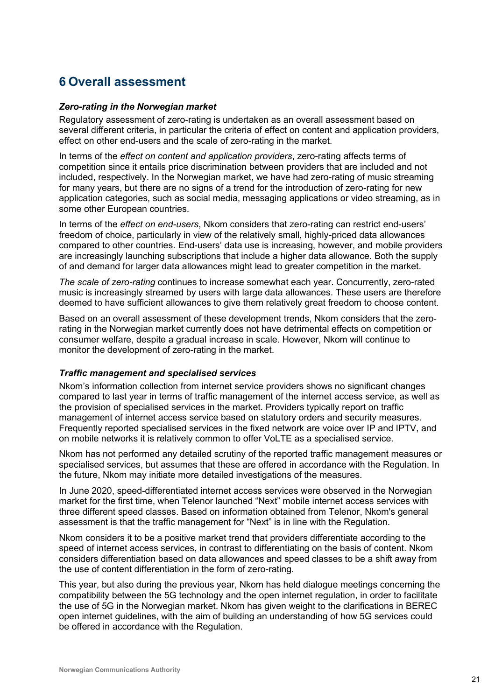# **6 Overall assessment**

#### *Zero-rating in the Norwegian market*

Regulatory assessment of zero-rating is undertaken as an overall assessment based on several different criteria, in particular the criteria of effect on content and application providers, effect on other end-users and the scale of zero-rating in the market.

In terms of the *effect on content and application providers*, zero-rating affects terms of competition since it entails price discrimination between providers that are included and not included, respectively. In the Norwegian market, we have had zero-rating of music streaming for many years, but there are no signs of a trend for the introduction of zero-rating for new application categories, such as social media, messaging applications or video streaming, as in some other European countries.

In terms of the *effect on end-users*, Nkom considers that zero-rating can restrict end-users' freedom of choice, particularly in view of the relatively small, highly-priced data allowances compared to other countries. End-users' data use is increasing, however, and mobile providers are increasingly launching subscriptions that include a higher data allowance. Both the supply of and demand for larger data allowances might lead to greater competition in the market.

*The scale of zero-rating* continues to increase somewhat each year. Concurrently, zero-rated music is increasingly streamed by users with large data allowances. These users are therefore deemed to have sufficient allowances to give them relatively great freedom to choose content.

Based on an overall assessment of these development trends, Nkom considers that the zerorating in the Norwegian market currently does not have detrimental effects on competition or consumer welfare, despite a gradual increase in scale. However, Nkom will continue to monitor the development of zero-rating in the market.

#### *Traffic management and specialised services*

Nkom's information collection from internet service providers shows no significant changes compared to last year in terms of traffic management of the internet access service, as well as the provision of specialised services in the market. Providers typically report on traffic management of internet access service based on statutory orders and security measures. Frequently reported specialised services in the fixed network are voice over IP and IPTV, and on mobile networks it is relatively common to offer VoLTE as a specialised service.

Nkom has not performed any detailed scrutiny of the reported traffic management measures or specialised services, but assumes that these are offered in accordance with the Regulation. In the future, Nkom may initiate more detailed investigations of the measures.

In June 2020, speed-differentiated internet access services were observed in the Norwegian market for the first time, when Telenor launched "Next" mobile internet access services with three different speed classes. Based on information obtained from Telenor, Nkom's general assessment is that the traffic management for "Next" is in line with the Regulation.

Nkom considers it to be a positive market trend that providers differentiate according to the speed of internet access services, in contrast to differentiating on the basis of content. Nkom considers differentiation based on data allowances and speed classes to be a shift away from the use of content differentiation in the form of zero-rating.

This year, but also during the previous year, Nkom has held dialogue meetings concerning the compatibility between the 5G technology and the open internet regulation, in order to facilitate the use of 5G in the Norwegian market. Nkom has given weight to the clarifications in BEREC open internet guidelines, with the aim of building an understanding of how 5G services could be offered in accordance with the Regulation.